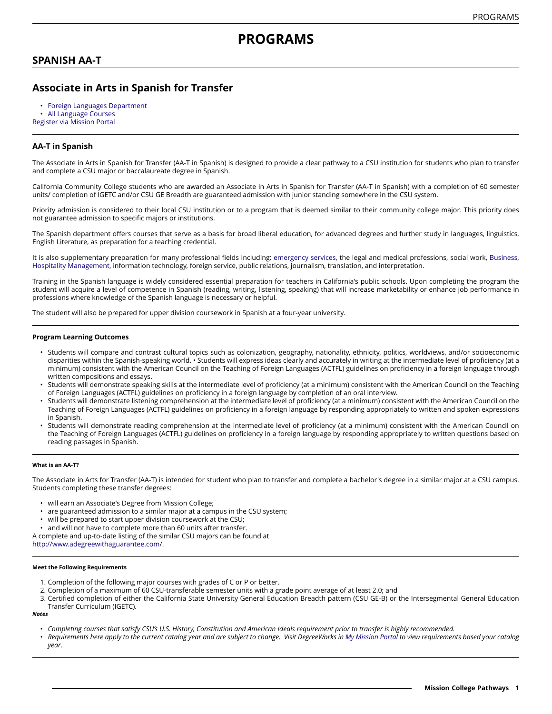# **SPANISH AA-T**

# **Associate in Arts in Spanish for Transfer**

• Foreign Languages [Department](https://missioncollege.edu/depts/foreign-languages/index.html)

• [All Language Courses](http://majors.missioncollege.edu/current/courses/languages.html)

[Register via Mission Portal](https://web.wvm.edu/)

## **AA-T in Spanish**

The Associate in Arts in Spanish for Transfer (AA-T in Spanish) is designed to provide a clear pathway to a CSU institution for students who plan to transfer and complete a CSU major or baccalaureate degree in Spanish.

California Community College students who are awarded an Associate in Arts in Spanish for Transfer (AA-T in Spanish) with a completion of 60 semester units/ completion of IGETC and/or CSU GE Breadth are guaranteed admission with junior standing somewhere in the CSU system.

Priority admission is considered to their local CSU institution or to a program that is deemed similar to their community college major. This priority does not guarantee admission to specific majors or institutions.

The Spanish department offers courses that serve as a basis for broad liberal education, for advanced degrees and further study in languages, linguistics, English Literature, as preparation for a teaching credential.

It is also supplementary preparation for many professional fields including: [emergency](https://missioncollege.edu/depts/fire-technology-emt/index.html) services, the legal and medical professions, social work, [Business](https://missioncollege.edu/depts/business/index.html), [Hospitality Management,](https://missioncollege.edu/depts/hospitality-management/) information technology, foreign service, public relations, journalism, translation, and interpretation.

Training in the Spanish language is widely considered essential preparation for teachers in California's public schools. Upon completing the program the student will acquire a level of competence in Spanish (reading, writing, listening, speaking) that will increase marketability or enhance job performance in professions where knowledge of the Spanish language is necessary or helpful.

The student will also be prepared for upper division coursework in Spanish at a four-year university.

### **Program Learning Outcomes**

- Students will compare and contrast cultural topics such as colonization, geography, nationality, ethnicity, politics, worldviews, and/or socioeconomic disparities within the Spanish-speaking world. • Students will express ideas clearly and accurately in writing at the intermediate level of proficiency (at a minimum) consistent with the American Council on the Teaching of Foreign Languages (ACTFL) guidelines on proficiency in a foreign language through written compositions and essays.
- Students will demonstrate speaking skills at the intermediate level of proficiency (at a minimum) consistent with the American Council on the Teaching of Foreign Languages (ACTFL) guidelines on proficiency in a foreign language by completion of an oral interview.
- Students will demonstrate listening comprehension at the intermediate level of proficiency (at a minimum) consistent with the American Council on the Teaching of Foreign Languages (ACTFL) guidelines on proficiency in a foreign language by responding appropriately to written and spoken expressions in Spanish.
- Students will demonstrate reading comprehension at the intermediate level of proficiency (at a minimum) consistent with the American Council on the Teaching of Foreign Languages (ACTFL) guidelines on proficiency in a foreign language by responding appropriately to written questions based on reading passages in Spanish.

#### **What is an AA-T?**

The Associate in Arts for Transfer (AA-T) is intended for student who plan to transfer and complete a bachelor's degree in a similar major at a CSU campus. Students completing these transfer degrees:

- will earn an Associate's Degree from Mission College;
- are guaranteed admission to a similar major at a campus in the CSU system;
- will be prepared to start upper division coursework at the CSU;
- and will not have to complete more than 60 units after transfer.

A complete and up-to-date listing of the similar CSU majors can be found at

[http://www.adegreewithaguarantee.com](http://www.adegreewithaguarantee.com/)/.

## **Meet the Following Requirements**

- 1. Completion of the following major courses with grades of C or P or better.
- 2. Completion of a maximum of 60 CSU-transferable semester units with a grade point average of at least 2.0; and
- 3. Certified completion of either the California State University General Education Breadth pattern (CSU GE-B) or the Intersegmental General Education Transfer Curriculum (IGETC).

#### *Notes*

- · Completing courses that satisfy CSU's U.S. History, Constitution and American Ideals requirement prior to transfer is highly recommended.
- Requirements here apply to the current catalog year and are subject to change. Visit DegreeWorks in [My Mission Portal](https://web.wvm.edu/#/) to view requirements based your catalog *year.*